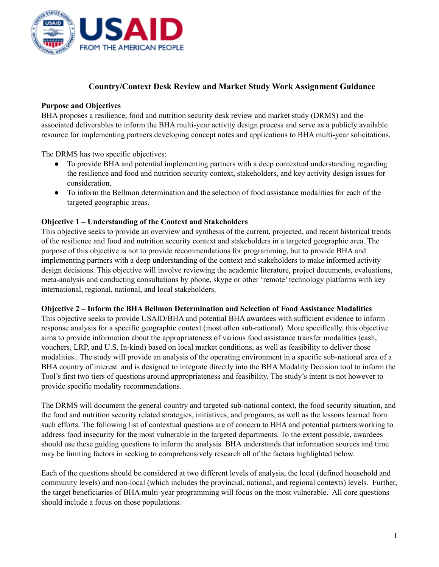

# **Country/Context Desk Review and Market Study Work Assignment Guidance**

### **Purpose and Objectives**

BHA proposes a resilience, food and nutrition security desk review and market study (DRMS) and the associated deliverables to inform the BHA multi-year activity design process and serve as a publicly available resource for implementing partners developing concept notes and applications to BHA multi-year solicitations.

The DRMS has two specific objectives:

- To provide BHA and potential implementing partners with a deep contextual understanding regarding the resilience and food and nutrition security context, stakeholders, and key activity design issues for consideration.
- To inform the Bellmon determination and the selection of food assistance modalities for each of the targeted geographic areas.

#### **Objective 1 – Understanding of the Context and Stakeholders**

This objective seeks to provide an overview and synthesis of the current, projected, and recent historical trends of the resilience and food and nutrition security context and stakeholders in a targeted geographic area. The purpose of this objective is not to provide recommendations for programming, but to provide BHA and implementing partners with a deep understanding of the context and stakeholders to make informed activity design decisions. This objective will involve reviewing the academic literature, project documents, evaluations, meta-analysis and conducting consultations by phone, skype or other 'remote' technology platforms with key international, regional, national, and local stakeholders.

#### **Objective 2 – Inform the BHA Bellmon Determination and Selection of Food Assistance Modalities**

This objective seeks to provide USAID/BHA and potential BHA awardees with sufficient evidence to inform response analysis for a specific geographic context (most often sub-national). More specifically, this objective aims to provide information about the appropriateness of various food assistance transfer modalities (cash, vouchers, LRP, and U.S. In-kind) based on local market conditions, as well as feasibility to deliver those modalities.. The study will provide an analysis of the operating environment in a specific sub-national area of a BHA country of interest and is designed to integrate directly into the BHA Modality Decision tool to inform the Tool's first two tiers of questions around appropriateness and feasibility. The study's intent is not however to provide specific modality recommendations.

The DRMS will document the general country and targeted sub-national context, the food security situation, and the food and nutrition security related strategies, initiatives, and programs, as well as the lessons learned from such efforts. The following list of contextual questions are of concern to BHA and potential partners working to address food insecurity for the most vulnerable in the targeted departments. To the extent possible, awardees should use these guiding questions to inform the analysis. BHA understands that information sources and time may be limiting factors in seeking to comprehensively research all of the factors highlighted below.

Each of the questions should be considered at two different levels of analysis, the local (defined household and community levels) and non-local (which includes the provincial, national, and regional contexts) levels. Further, the target beneficiaries of BHA multi-year programming will focus on the most vulnerable. All core questions should include a focus on those populations.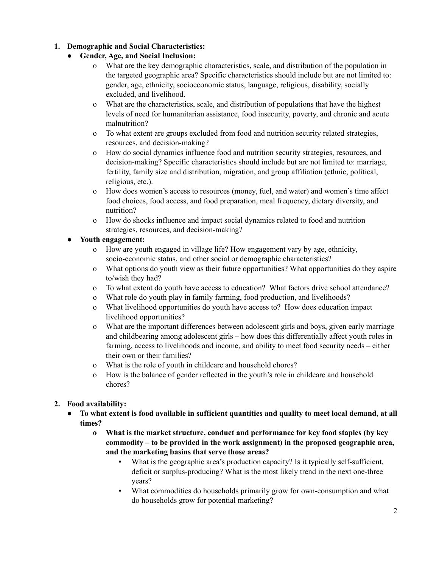### **1. Demographic and Social Characteristics:**

# **● Gender, Age, and Social Inclusion:**

- o What are the key demographic characteristics, scale, and distribution of the population in the targeted geographic area? Specific characteristics should include but are not limited to: gender, age, ethnicity, socioeconomic status, language, religious, disability, socially excluded, and livelihood.
- o What are the characteristics, scale, and distribution of populations that have the highest levels of need for humanitarian assistance, food insecurity, poverty, and chronic and acute malnutrition?
- o To what extent are groups excluded from food and nutrition security related strategies, resources, and decision-making?
- o How do social dynamics influence food and nutrition security strategies, resources, and decision-making? Specific characteristics should include but are not limited to: marriage, fertility, family size and distribution, migration, and group affiliation (ethnic, political, religious, etc.).
- o How does women's access to resources (money, fuel, and water) and women's time affect food choices, food access, and food preparation, meal frequency, dietary diversity, and nutrition?
- o How do shocks influence and impact social dynamics related to food and nutrition strategies, resources, and decision-making?

# **● Youth engagement:**

- o How are youth engaged in village life? How engagement vary by age, ethnicity, socio-economic status, and other social or demographic characteristics?
- o What options do youth view as their future opportunities? What opportunities do they aspire to/wish they had?
- o To what extent do youth have access to education? What factors drive school attendance?
- o What role do youth play in family farming, food production, and livelihoods?
- o What livelihood opportunities do youth have access to? How does education impact livelihood opportunities?
- o What are the important differences between adolescent girls and boys, given early marriage and childbearing among adolescent girls – how does this differentially affect youth roles in farming, access to livelihoods and income, and ability to meet food security needs – either their own or their families?
- o What is the role of youth in childcare and household chores?
- o How is the balance of gender reflected in the youth's role in childcare and household chores?

# **2. Food availability:**

- To what extent is food available in sufficient quantities and quality to meet local demand, at all **times?**
	- **o What is the market structure, conduct and performance for key food staples (by key commodity – to be provided in the work assignment) in the proposed geographic area, and the marketing basins that serve those areas?**
		- What is the geographic area's production capacity? Is it typically self-sufficient, deficit or surplus-producing? What is the most likely trend in the next one-three years?
		- What commodities do households primarily grow for own-consumption and what do households grow for potential marketing?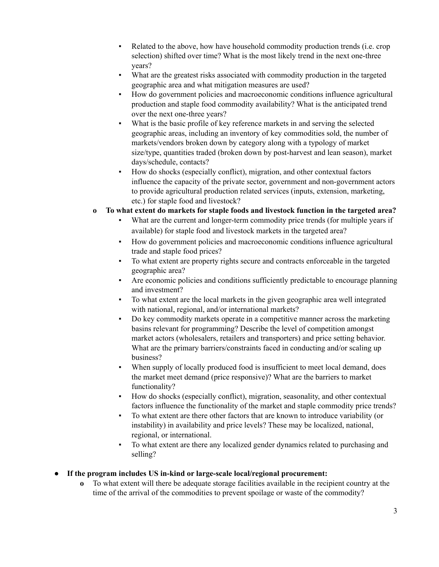- Related to the above, how have household commodity production trends (i.e. crop selection) shifted over time? What is the most likely trend in the next one-three years?
- What are the greatest risks associated with commodity production in the targeted geographic area and what mitigation measures are used?
- How do government policies and macroeconomic conditions influence agricultural production and staple food commodity availability? What is the anticipated trend over the next one-three years?
- What is the basic profile of key reference markets in and serving the selected geographic areas, including an inventory of key commodities sold, the number of markets/vendors broken down by category along with a typology of market size/type, quantities traded (broken down by post-harvest and lean season), market days/schedule, contacts?
- How do shocks (especially conflict), migration, and other contextual factors influence the capacity of the private sector, government and non-government actors to provide agricultural production related services (inputs, extension, marketing, etc.) for staple food and livestock?
- **o To what extent do markets for staple foods and livestock function in the targeted area?**
	- What are the current and longer-term commodity price trends (for multiple years if available) for staple food and livestock markets in the targeted area?
	- How do government policies and macroeconomic conditions influence agricultural trade and staple food prices?
	- To what extent are property rights secure and contracts enforceable in the targeted geographic area?
	- Are economic policies and conditions sufficiently predictable to encourage planning and investment?
	- To what extent are the local markets in the given geographic area well integrated with national, regional, and/or international markets?
	- Do key commodity markets operate in a competitive manner across the marketing basins relevant for programming? Describe the level of competition amongst market actors (wholesalers, retailers and transporters) and price setting behavior. What are the primary barriers/constraints faced in conducting and/or scaling up business?
	- When supply of locally produced food is insufficient to meet local demand, does the market meet demand (price responsive)? What are the barriers to market functionality?
	- How do shocks (especially conflict), migration, seasonality, and other contextual factors influence the functionality of the market and staple commodity price trends?
	- To what extent are there other factors that are known to introduce variability (or instability) in availability and price levels? These may be localized, national, regional, or international.
	- To what extent are there any localized gender dynamics related to purchasing and selling?
- **● If the program includes US in-kind or large-scale local/regional procurement:**
	- **o** To what extent will there be adequate storage facilities available in the recipient country at the time of the arrival of the commodities to prevent spoilage or waste of the commodity?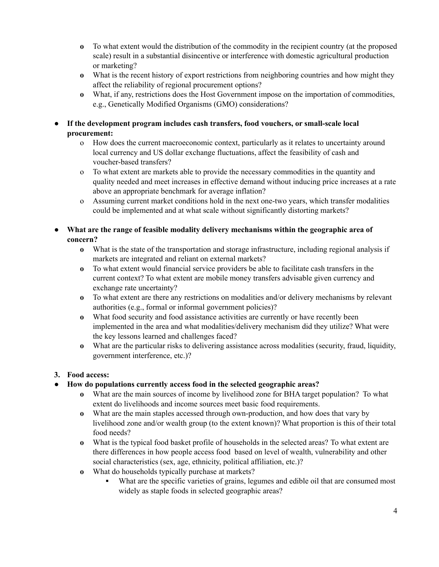- **o** To what extent would the distribution of the commodity in the recipient country (at the proposed scale) result in a substantial disincentive or interference with domestic agricultural production or marketing?
- **o** What is the recent history of export restrictions from neighboring countries and how might they affect the reliability of regional procurement options?
- **o** What, if any, restrictions does the Host Government impose on the importation of commodities, e.g., Genetically Modified Organisms (GMO) considerations?
- **● If the development program includes cash transfers, food vouchers, or small-scale local procurement:**
	- o How does the current macroeconomic context, particularly as it relates to uncertainty around local currency and US dollar exchange fluctuations, affect the feasibility of cash and voucher-based transfers?
	- o To what extent are markets able to provide the necessary commodities in the quantity and quality needed and meet increases in effective demand without inducing price increases at a rate above an appropriate benchmark for average inflation?
	- o Assuming current market conditions hold in the next one-two years, which transfer modalities could be implemented and at what scale without significantly distorting markets?
- **● What are the range of feasible modality delivery mechanisms within the geographic area of concern?**
	- **o** What is the state of the transportation and storage infrastructure, including regional analysis if markets are integrated and reliant on external markets?
	- **o** To what extent would financial service providers be able to facilitate cash transfers in the current context? To what extent are mobile money transfers advisable given currency and exchange rate uncertainty?
	- **o** To what extent are there any restrictions on modalities and/or delivery mechanisms by relevant authorities (e.g., formal or informal government policies)?
	- **o** What food security and food assistance activities are currently or have recently been implemented in the area and what modalities/delivery mechanism did they utilize? What were the key lessons learned and challenges faced?
	- **o** What are the particular risks to delivering assistance across modalities (security, fraud, liquidity, government interference, etc.)?

# **3. Food access:**

- **● How do populations currently access food in the selected geographic areas?**
	- **o** What are the main sources of income by livelihood zone for BHA target population? To what extent do livelihoods and income sources meet basic food requirements.
	- **o** What are the main staples accessed through own-production, and how does that vary by livelihood zone and/or wealth group (to the extent known)? What proportion is this of their total food needs?
	- **o** What is the typical food basket profile of households in the selected areas? To what extent are there differences in how people access food based on level of wealth, vulnerability and other social characteristics (sex, age, ethnicity, political affiliation, etc.)?
	- **o** What do households typically purchase at markets?
		- **▪** What are the specific varieties of grains, legumes and edible oil that are consumed most widely as staple foods in selected geographic areas?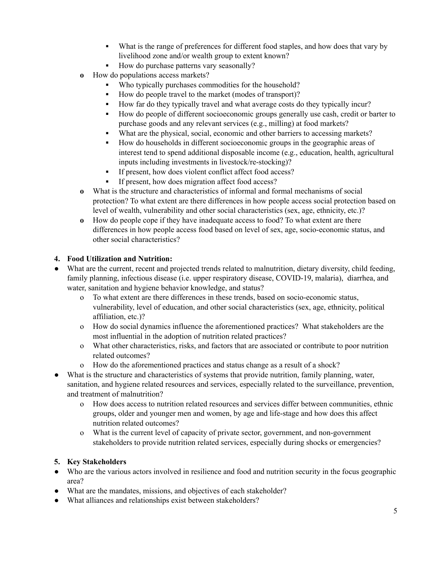- **▪** What is the range of preferences for different food staples, and how does that vary by livelihood zone and/or wealth group to extent known?
- How do purchase patterns vary seasonally?
- **o** How do populations access markets?
	- Who typically purchases commodities for the household?
	- **▪** How do people travel to the market (modes of transport)?
	- **▪** How far do they typically travel and what average costs do they typically incur?
	- How do people of different socioeconomic groups generally use cash, credit or barter to purchase goods and any relevant services (e.g., milling) at food markets?
	- **▪** What are the physical, social, economic and other barriers to accessing markets?
	- **▪** How do households in different socioeconomic groups in the geographic areas of interest tend to spend additional disposable income (e.g., education, health, agricultural inputs including investments in livestock/re-stocking)?
	- **▪** If present, how does violent conflict affect food access?
	- If present, how does migration affect food access?
- **o** What is the structure and characteristics of informal and formal mechanisms of social protection? To what extent are there differences in how people access social protection based on level of wealth, vulnerability and other social characteristics (sex, age, ethnicity, etc.)?
- **o** How do people cope if they have inadequate access to food? To what extent are there differences in how people access food based on level of sex, age, socio-economic status, and other social characteristics?

#### **4. Food Utilization and Nutrition:**

- What are the current, recent and projected trends related to malnutrition, dietary diversity, child feeding, family planning, infectious disease (i.e. upper respiratory disease, COVID-19, malaria), diarrhea, and water, sanitation and hygiene behavior knowledge, and status?
	- o To what extent are there differences in these trends, based on socio-economic status, vulnerability, level of education, and other social characteristics (sex, age, ethnicity, political affiliation, etc.)?
	- o How do social dynamics influence the aforementioned practices? What stakeholders are the most influential in the adoption of nutrition related practices?
	- o What other characteristics, risks, and factors that are associated or contribute to poor nutrition related outcomes?
	- o How do the aforementioned practices and status change as a result of a shock?
- What is the structure and characteristics of systems that provide nutrition, family planning, water, sanitation, and hygiene related resources and services, especially related to the surveillance, prevention, and treatment of malnutrition?
	- o How does access to nutrition related resources and services differ between communities, ethnic groups, older and younger men and women, by age and life-stage and how does this affect nutrition related outcomes?
	- o What is the current level of capacity of private sector, government, and non-government stakeholders to provide nutrition related services, especially during shocks or emergencies?

### **5. Key Stakeholders**

- Who are the various actors involved in resilience and food and nutrition security in the focus geographic area?
- What are the mandates, missions, and objectives of each stakeholder?
- What alliances and relationships exist between stakeholders?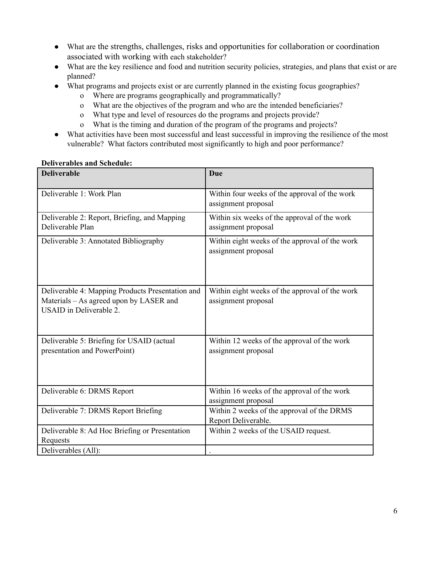- What are the strengths, challenges, risks and opportunities for collaboration or coordination associated with working with each stakeholder?
- What are the key resilience and food and nutrition security policies, strategies, and plans that exist or are planned?
- What programs and projects exist or are currently planned in the existing focus geographies?
	- o Where are programs geographically and programmatically?
	- o What are the objectives of the program and who are the intended beneficiaries?
	- o What type and level of resources do the programs and projects provide?
	- o What is the timing and duration of the program of the programs and projects?
- What activities have been most successful and least successful in improving the resilience of the most vulnerable? What factors contributed most significantly to high and poor performance?

#### **Deliverables and Schedule:**

| <b>Deliverable</b>                                                                                                            | Due                                                                   |
|-------------------------------------------------------------------------------------------------------------------------------|-----------------------------------------------------------------------|
| Deliverable 1: Work Plan                                                                                                      | Within four weeks of the approval of the work<br>assignment proposal  |
| Deliverable 2: Report, Briefing, and Mapping<br>Deliverable Plan                                                              | Within six weeks of the approval of the work<br>assignment proposal   |
| Deliverable 3: Annotated Bibliography                                                                                         | Within eight weeks of the approval of the work<br>assignment proposal |
| Deliverable 4: Mapping Products Presentation and<br>Materials - As agreed upon by LASER and<br><b>USAID</b> in Deliverable 2. | Within eight weeks of the approval of the work<br>assignment proposal |
| Deliverable 5: Briefing for USAID (actual<br>presentation and PowerPoint)                                                     | Within 12 weeks of the approval of the work<br>assignment proposal    |
| Deliverable 6: DRMS Report                                                                                                    | Within 16 weeks of the approval of the work<br>assignment proposal    |
| Deliverable 7: DRMS Report Briefing                                                                                           | Within 2 weeks of the approval of the DRMS<br>Report Deliverable.     |
| Deliverable 8: Ad Hoc Briefing or Presentation<br>Requests                                                                    | Within 2 weeks of the USAID request.                                  |
| Deliverables (All):                                                                                                           |                                                                       |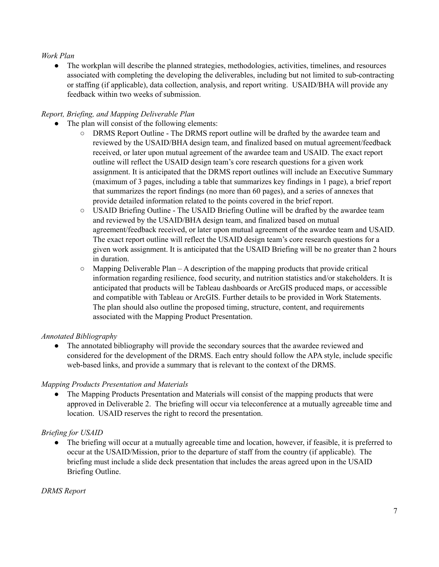### *Work Plan*

• The workplan will describe the planned strategies, methodologies, activities, timelines, and resources associated with completing the developing the deliverables, including but not limited to sub-contracting or staffing (if applicable), data collection, analysis, and report writing. USAID/BHA will provide any feedback within two weeks of submission.

### *Report, Briefing, and Mapping Deliverable Plan*

- The plan will consist of the following elements:
	- DRMS Report Outline The DRMS report outline will be drafted by the awardee team and reviewed by the USAID/BHA design team, and finalized based on mutual agreement/feedback received, or later upon mutual agreement of the awardee team and USAID. The exact report outline will reflect the USAID design team's core research questions for a given work assignment. It is anticipated that the DRMS report outlines will include an Executive Summary (maximum of 3 pages, including a table that summarizes key findings in 1 page), a brief report that summarizes the report findings (no more than 60 pages), and a series of annexes that provide detailed information related to the points covered in the brief report.
	- USAID Briefing Outline The USAID Briefing Outline will be drafted by the awardee team and reviewed by the USAID/BHA design team, and finalized based on mutual agreement/feedback received, or later upon mutual agreement of the awardee team and USAID. The exact report outline will reflect the USAID design team's core research questions for a given work assignment. It is anticipated that the USAID Briefing will be no greater than 2 hours in duration.
	- $\circ$  Mapping Deliverable Plan A description of the mapping products that provide critical information regarding resilience, food security, and nutrition statistics and/or stakeholders. It is anticipated that products will be Tableau dashboards or ArcGIS produced maps, or accessible and compatible with Tableau or ArcGIS. Further details to be provided in Work Statements. The plan should also outline the proposed timing, structure, content, and requirements associated with the Mapping Product Presentation.

### *Annotated Bibliography*

• The annotated bibliography will provide the secondary sources that the awardee reviewed and considered for the development of the DRMS. Each entry should follow the APA style, include specific web-based links, and provide a summary that is relevant to the context of the DRMS.

### *Mapping Products Presentation and Materials*

• The Mapping Products Presentation and Materials will consist of the mapping products that were approved in Deliverable 2. The briefing will occur via teleconference at a mutually agreeable time and location. USAID reserves the right to record the presentation.

### *Briefing for USAID*

**●** The briefing will occur at a mutually agreeable time and location, however, if feasible, it is preferred to occur at the USAID/Mission, prior to the departure of staff from the country (if applicable). The briefing must include a slide deck presentation that includes the areas agreed upon in the USAID Briefing Outline.

### *DRMS Report*